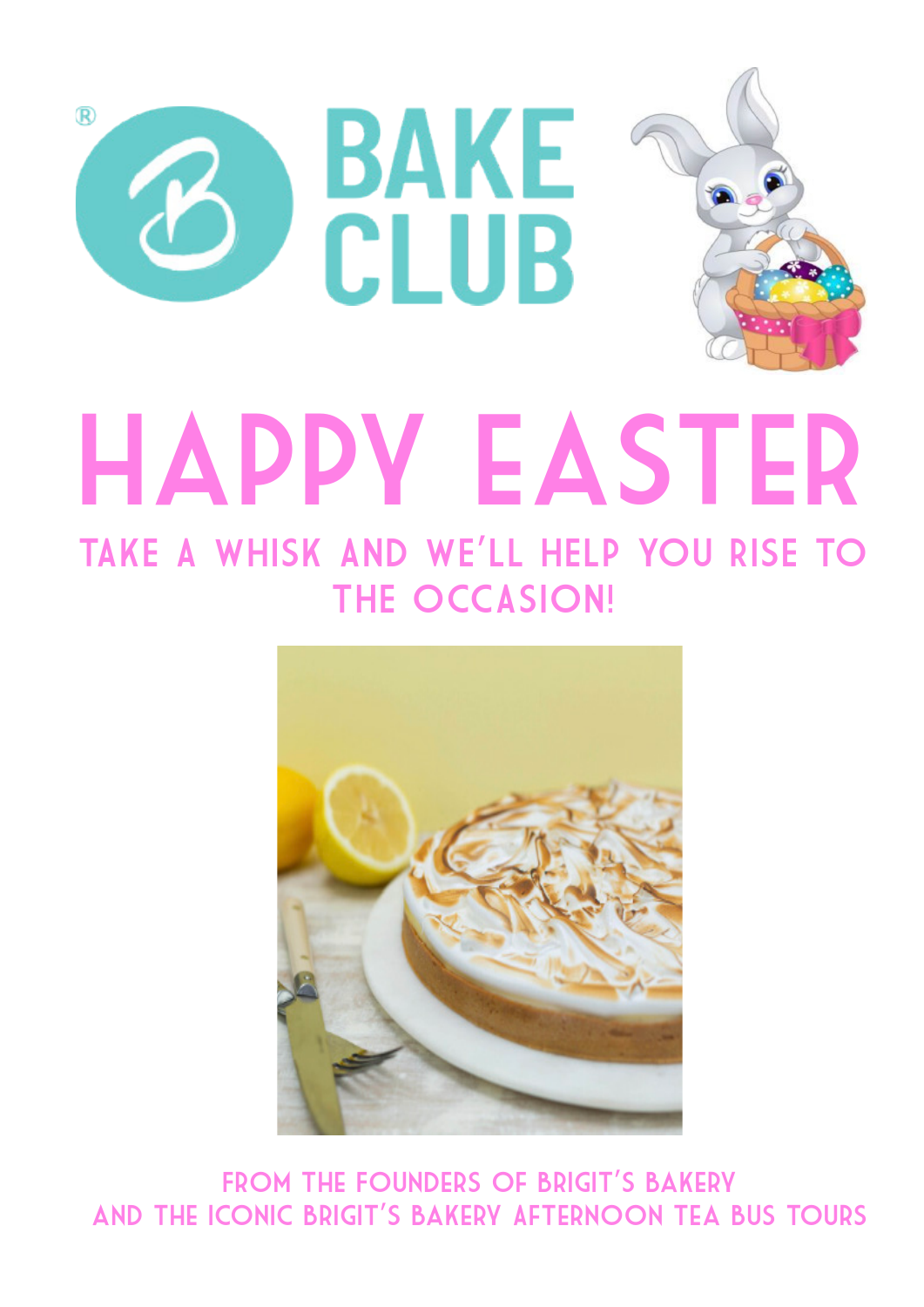



FROM THE FOUNDERS OF BRIGIT'S BAKERY and the iconic Brigit's Bakery Afternoon Tea Bus Tours